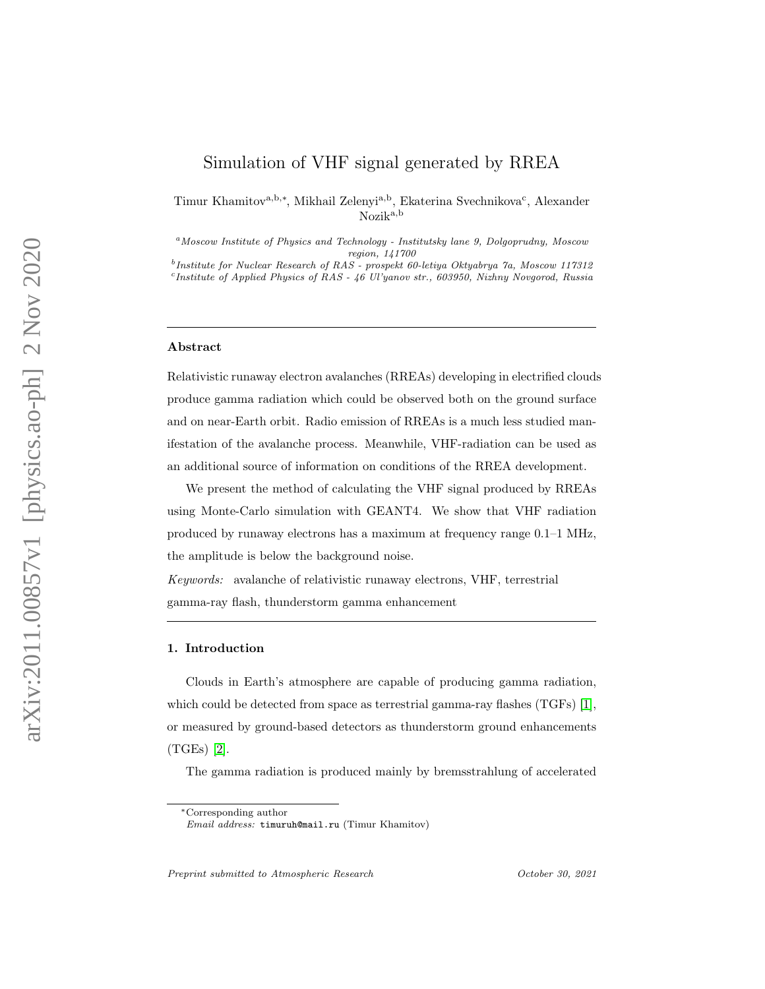# <span id="page-0-0"></span>Simulation of VHF signal generated by RREA

Timur Khamitov<sup>a,b,\*</sup>, Mikhail Zelenyi<sup>a,b</sup>, Ekaterina Svechnikova<sup>c</sup>, Alexander Nozika,b

<sup>a</sup>Moscow Institute of Physics and Technology - Institutsky lane 9, Dolgoprudny, Moscow region, 141700

<sup>b</sup>Institute for Nuclear Research of RAS - prospekt 60-letiya Oktyabrya 7a, Moscow 117312 c Institute of Applied Physics of RAS - 46 Ul'yanov str., 603950, Nizhny Novgorod, Russia

#### Abstract

Relativistic runaway electron avalanches (RREAs) developing in electrified clouds produce gamma radiation which could be observed both on the ground surface and on near-Earth orbit. Radio emission of RREAs is a much less studied manifestation of the avalanche process. Meanwhile, VHF-radiation can be used as an additional source of information on conditions of the RREA development.

We present the method of calculating the VHF signal produced by RREAs using Monte-Carlo simulation with GEANT4. We show that VHF radiation produced by runaway electrons has a maximum at frequency range 0.1–1 MHz, the amplitude is below the background noise.

Keywords: avalanche of relativistic runaway electrons, VHF, terrestrial gamma-ray flash, thunderstorm gamma enhancement

#### 1. Introduction

Clouds in Earth's atmosphere are capable of producing gamma radiation, which could be detected from space as terrestrial gamma-ray flashes (TGFs) [\[1\]](#page-9-0), or measured by ground-based detectors as thunderstorm ground enhancements (TGEs) [\[2\]](#page-9-1).

The gamma radiation is produced mainly by bremsstrahlung of accelerated

Preprint submitted to Atmospheric Research  $October\ 30, \ 2021$ 

<sup>∗</sup>Corresponding author

Email address: timuruh@mail.ru (Timur Khamitov)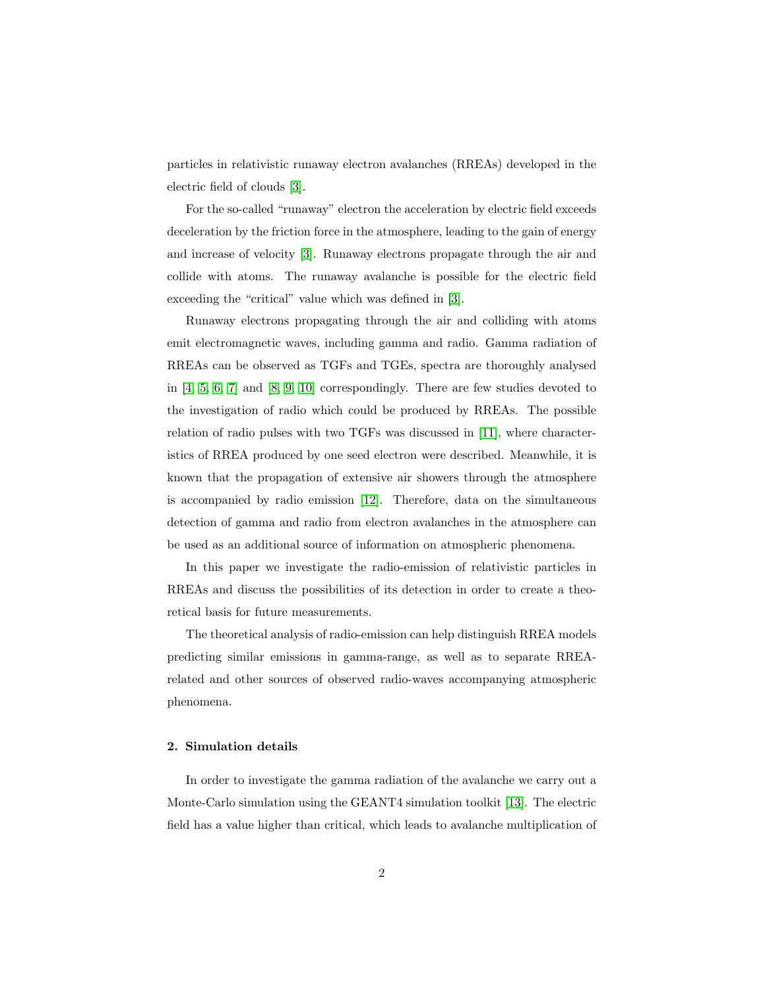particles in relativistic runaway electron avalanches (RREAs) developed in the electric field of clouds [\[3\]](#page-9-2).

For the so-called "runaway" electron the acceleration by electric field exceeds deceleration by the friction force in the atmosphere, leading to the gain of energy and increase of velocity [\[3\]](#page-9-2). Runaway electrons propagate through the air and collide with atoms. The runaway avalanche is possible for the electric field exceeding the "critical" value which was defined in [\[3\]](#page-9-2).

Runaway electrons propagating through the air and colliding with atoms emit electromagnetic waves, including gamma and radio. Gamma radiation of RREAs can be observed as TGFs and TGEs, spectra are thoroughly analysed in [\[4,](#page-9-3) [5,](#page-9-4) [6,](#page-10-0) [7\]](#page-10-1) and [\[8,](#page-10-2) [9,](#page-10-3) [10\]](#page-10-4) correspondingly. There are few studies devoted to the investigation of radio which could be produced by RREAs. The possible relation of radio pulses with two TGFs was discussed in [\[11\]](#page-10-5), where characteristics of RREA produced by one seed electron were described. Meanwhile, it is known that the propagation of extensive air showers through the atmosphere is accompanied by radio emission [\[12\]](#page-10-6). Therefore, data on the simultaneous detection of gamma and radio from electron avalanches in the atmosphere can be used as an additional source of information on atmospheric phenomena.

In this paper we investigate the radio-emission of relativistic particles in RREAs and discuss the possibilities of its detection in order to create a theoretical basis for future measurements.

The theoretical analysis of radio-emission can help distinguish RREA models predicting similar emissions in gamma-range, as well as to separate RREArelated and other sources of observed radio-waves accompanying atmospheric phenomena.

## 2. Simulation details

In order to investigate the gamma radiation of the avalanche we carry out a Monte-Carlo simulation using the GEANT4 simulation toolkit [\[13\]](#page-10-7). The electric field has a value higher than critical, which leads to avalanche multiplication of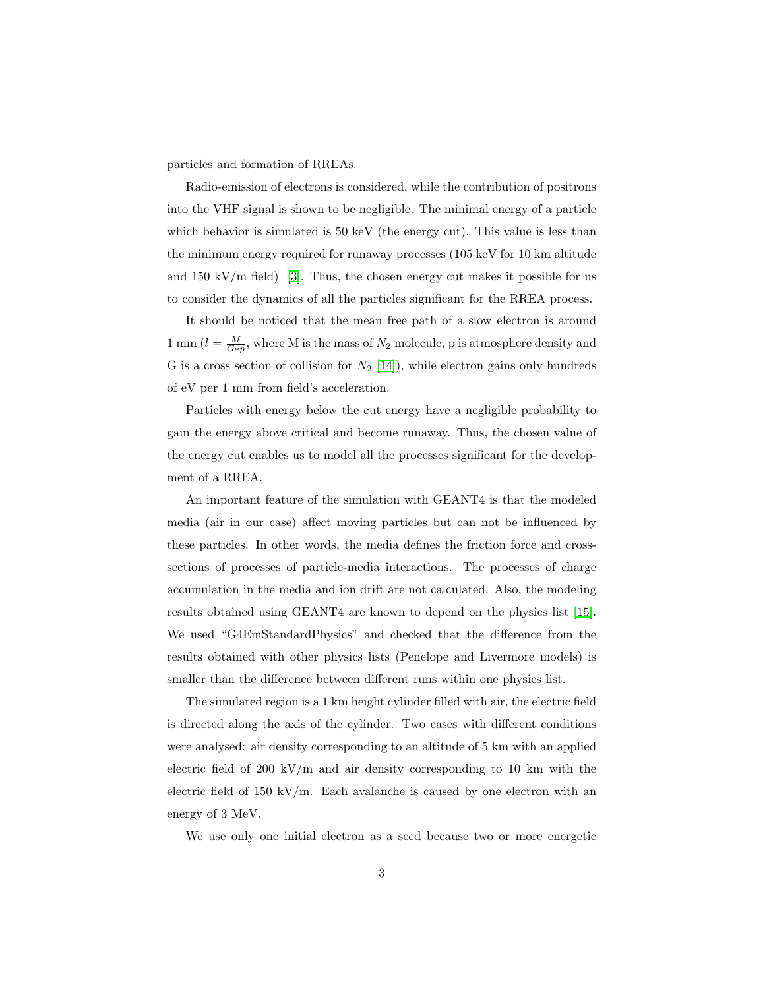particles and formation of RREAs.

Radio-emission of electrons is considered, while the contribution of positrons into the VHF signal is shown to be negligible. The minimal energy of a particle which behavior is simulated is 50 keV (the energy cut). This value is less than the minimum energy required for runaway processes (105 keV for 10 km altitude and 150 kV/m field) [\[3\]](#page-9-2). Thus, the chosen energy cut makes it possible for us to consider the dynamics of all the particles significant for the RREA process.

It should be noticed that the mean free path of a slow electron is around 1 mm  $(l = \frac{M}{G*p}$ , where M is the mass of  $N_2$  molecule, p is atmosphere density and G is a cross section of collision for  $N_2$  [\[14\]](#page-11-0)), while electron gains only hundreds of eV per 1 mm from field's acceleration.

Particles with energy below the cut energy have a negligible probability to gain the energy above critical and become runaway. Thus, the chosen value of the energy cut enables us to model all the processes significant for the development of a RREA.

An important feature of the simulation with GEANT4 is that the modeled media (air in our case) affect moving particles but can not be influenced by these particles. In other words, the media defines the friction force and crosssections of processes of particle-media interactions. The processes of charge accumulation in the media and ion drift are not calculated. Also, the modeling results obtained using GEANT4 are known to depend on the physics list [\[15\]](#page-11-1). We used "G4EmStandardPhysics" and checked that the difference from the results obtained with other physics lists (Penelope and Livermore models) is smaller than the difference between different runs within one physics list.

The simulated region is a 1 km height cylinder filled with air, the electric field is directed along the axis of the cylinder. Two cases with different conditions were analysed: air density corresponding to an altitude of 5 km with an applied electric field of 200 kV/m and air density corresponding to 10 km with the electric field of 150 kV/m. Each avalanche is caused by one electron with an energy of 3 MeV.

We use only one initial electron as a seed because two or more energetic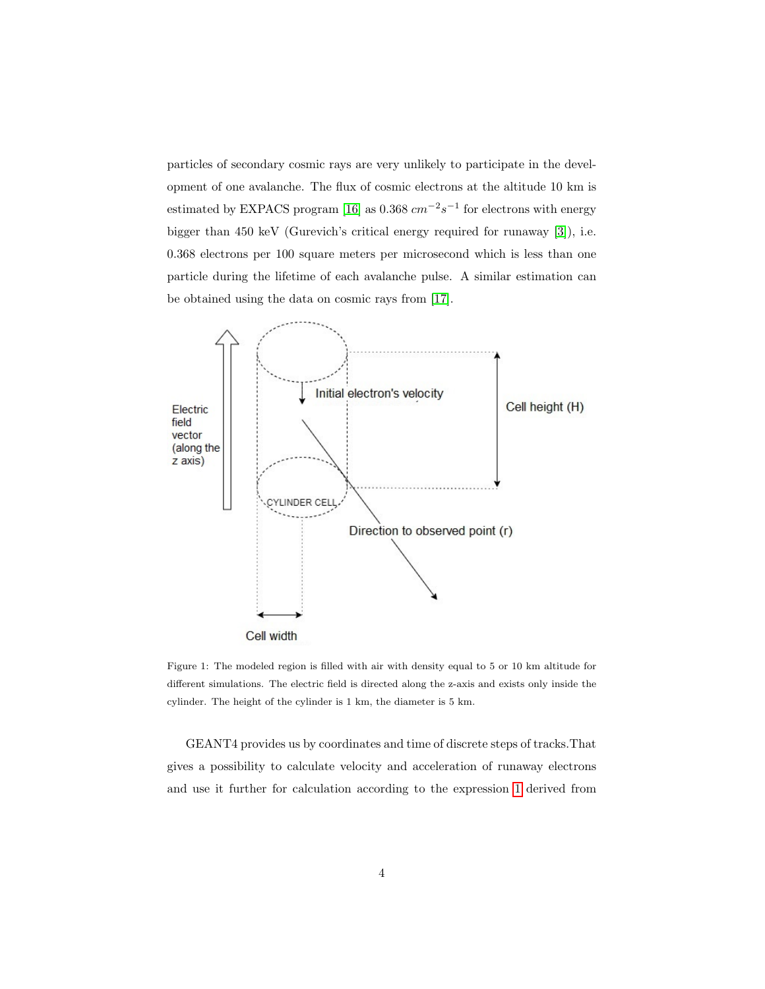particles of secondary cosmic rays are very unlikely to participate in the development of one avalanche. The flux of cosmic electrons at the altitude 10 km is estimated by EXPACS program [\[16\]](#page-11-2) as 0.368  $cm^{-2}s^{-1}$  for electrons with energy bigger than 450 keV (Gurevich's critical energy required for runaway [\[3\]](#page-9-2)), i.e. 0.368 electrons per 100 square meters per microsecond which is less than one particle during the lifetime of each avalanche pulse. A similar estimation can be obtained using the data on cosmic rays from [\[17\]](#page-11-3).



Figure 1: The modeled region is filled with air with density equal to 5 or 10 km altitude for different simulations. The electric field is directed along the z-axis and exists only inside the cylinder. The height of the cylinder is 1 km, the diameter is 5 km.

GEANT4 provides us by coordinates and time of discrete steps of tracks.That gives a possibility to calculate velocity and acceleration of runaway electrons and use it further for calculation according to the expression [1](#page-4-0) derived from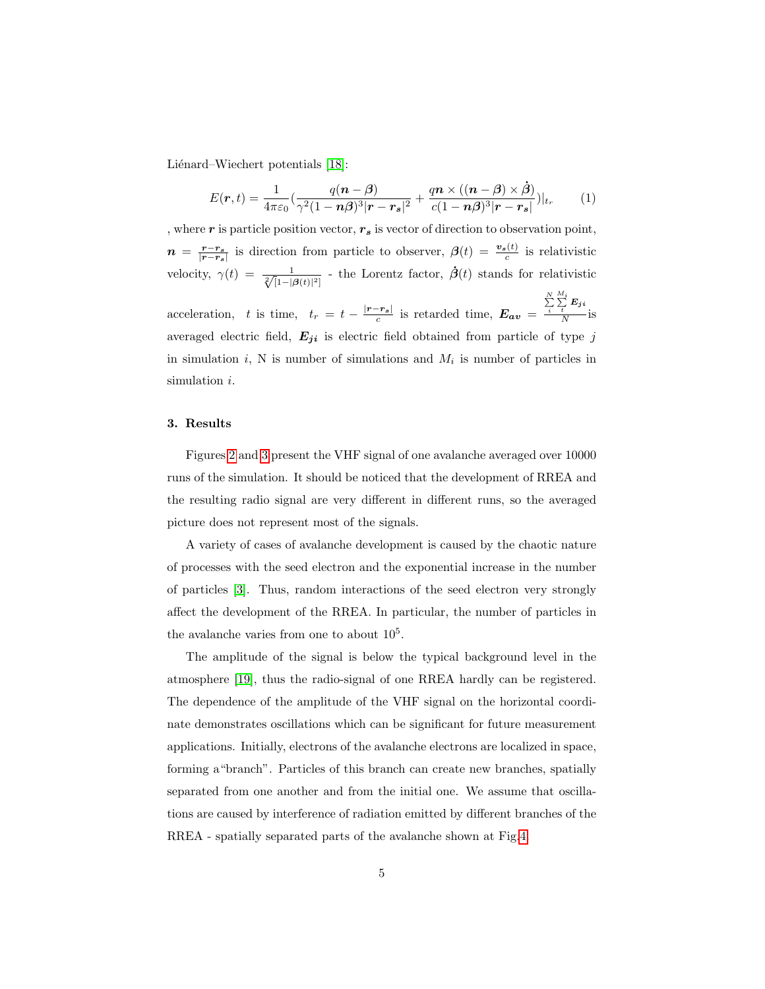Liénard–Wiechert potentials [\[18\]](#page-11-4):

<span id="page-4-0"></span>
$$
E(\mathbf{r},t) = \frac{1}{4\pi\varepsilon_0} \left( \frac{q(\mathbf{n}-\boldsymbol{\beta})}{\gamma^2 (1-\mathbf{n}\boldsymbol{\beta})^3 |\mathbf{r}-\mathbf{r_s}|^2} + \frac{q\mathbf{n} \times ((\mathbf{n}-\boldsymbol{\beta}) \times \boldsymbol{\dot{\beta}})}{c(1-\mathbf{n}\boldsymbol{\beta})^3 |\mathbf{r}-\mathbf{r_s}|} \right)|_{t_r}
$$
(1)

, where r is particle position vector,  $r_s$  is vector of direction to observation point,  $n = \frac{r-r_s}{|r-r_s|}$  is direction from particle to observer,  $\beta(t) = \frac{v_s(t)}{c}$  is relativistic velocity,  $\gamma(t) = \frac{1}{\sqrt[2]{[1-|\beta(t)|^2]}}$  - the Lorentz factor,  $\dot{\beta}(t)$  stands for relativistic acceleration, t is time,  $t_r = t - \frac{|r - r_s|}{c}$  is retarded time,  $E_{av}$  =  $\sum_{i}^{N}$  $\sum\limits_t^{M_i}\bm{E_j}_i$  $\frac{t}{N}$  is averaged electric field,  $E_{ji}$  is electric field obtained from particle of type j in simulation  $i$ , N is number of simulations and  $M_i$  is number of particles in simulation *i*.

## 3. Results

Figures [2](#page-5-0) and [3](#page-5-1) present the VHF signal of one avalanche averaged over 10000 runs of the simulation. It should be noticed that the development of RREA and the resulting radio signal are very different in different runs, so the averaged picture does not represent most of the signals.

A variety of cases of avalanche development is caused by the chaotic nature of processes with the seed electron and the exponential increase in the number of particles [\[3\]](#page-9-2). Thus, random interactions of the seed electron very strongly affect the development of the RREA. In particular, the number of particles in the avalanche varies from one to about  $10<sup>5</sup>$ .

The amplitude of the signal is below the typical background level in the atmosphere [\[19\]](#page-11-5), thus the radio-signal of one RREA hardly can be registered. The dependence of the amplitude of the VHF signal on the horizontal coordinate demonstrates oscillations which can be significant for future measurement applications. Initially, electrons of the avalanche electrons are localized in space, forming a"branch". Particles of this branch can create new branches, spatially separated from one another and from the initial one. We assume that oscillations are caused by interference of radiation emitted by different branches of the RREA - spatially separated parts of the avalanche shown at Fig[.4.](#page-6-0)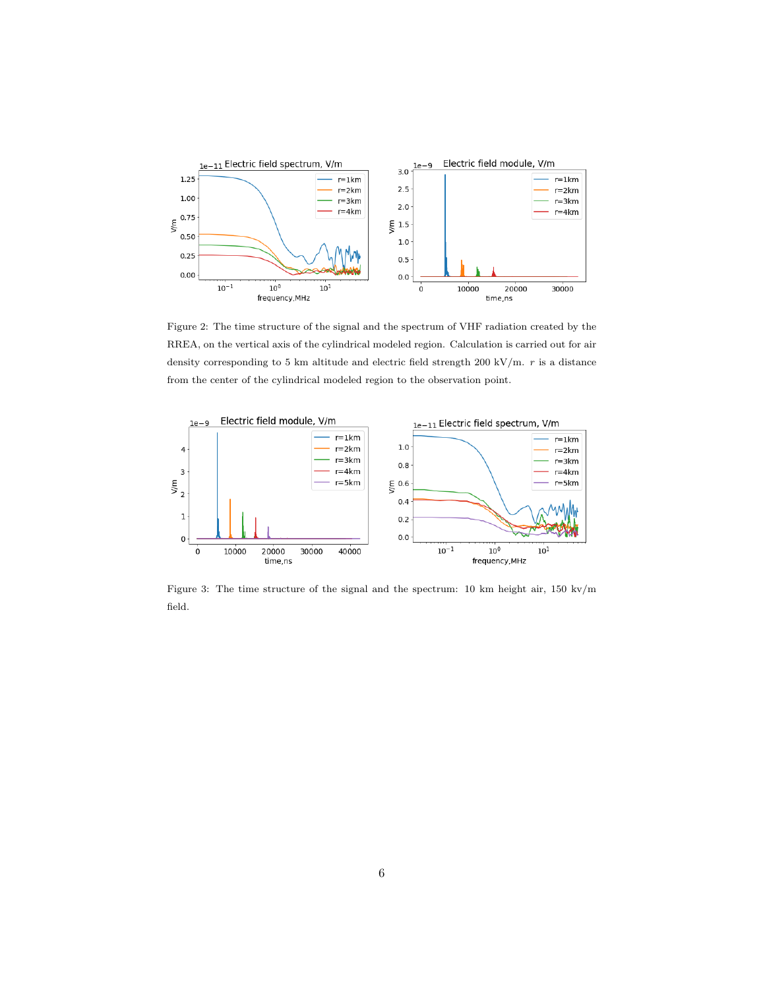<span id="page-5-0"></span>

Figure 2: The time structure of the signal and the spectrum of VHF radiation created by the RREA, on the vertical axis of the cylindrical modeled region. Calculation is carried out for air density corresponding to 5 km altitude and electric field strength 200 kV/m.  $r$  is a distance from the center of the cylindrical modeled region to the observation point.

<span id="page-5-1"></span>

Figure 3: The time structure of the signal and the spectrum: 10 km height air, 150 kv/m field.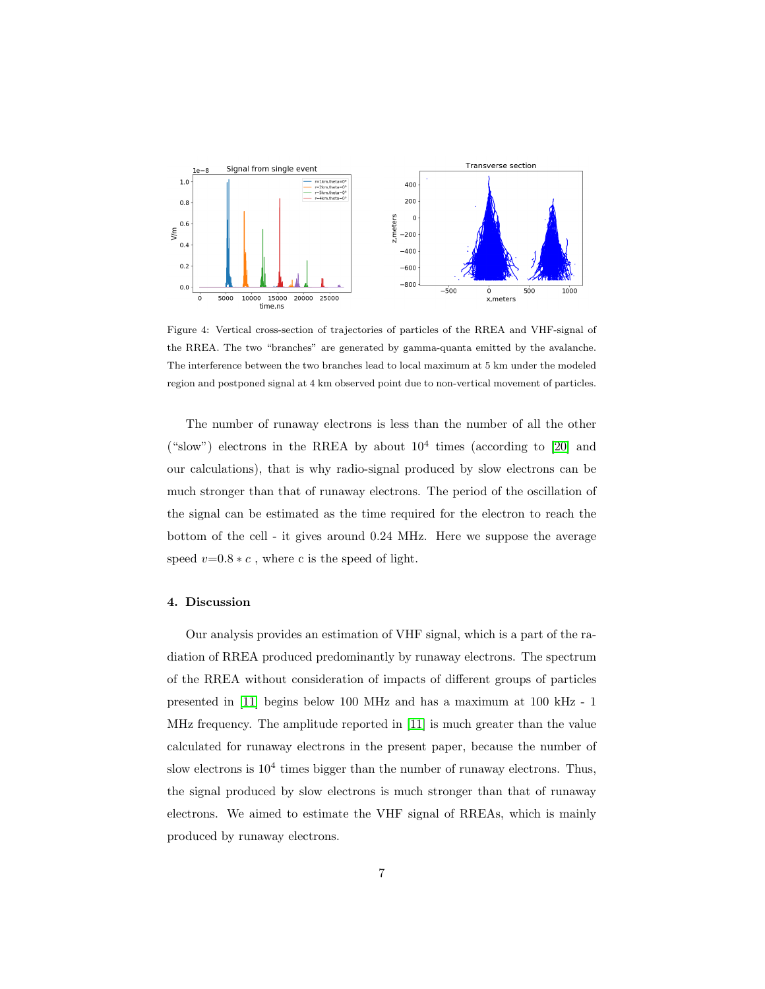<span id="page-6-0"></span>

Figure 4: Vertical cross-section of trajectories of particles of the RREA and VHF-signal of the RREA. The two "branches" are generated by gamma-quanta emitted by the avalanche. The interference between the two branches lead to local maximum at 5 km under the modeled region and postponed signal at 4 km observed point due to non-vertical movement of particles.

The number of runaway electrons is less than the number of all the other ("slow") electrons in the RREA by about  $10^4$  times (according to [\[20\]](#page-11-6) and our calculations), that is why radio-signal produced by slow electrons can be much stronger than that of runaway electrons. The period of the oscillation of the signal can be estimated as the time required for the electron to reach the bottom of the cell - it gives around 0.24 MHz. Here we suppose the average speed  $v=0.8 * c$ , where c is the speed of light.

## 4. Discussion

Our analysis provides an estimation of VHF signal, which is a part of the radiation of RREA produced predominantly by runaway electrons. The spectrum of the RREA without consideration of impacts of different groups of particles presented in [\[11\]](#page-10-5) begins below 100 MHz and has a maximum at 100 kHz - 1 MHz frequency. The amplitude reported in [\[11\]](#page-10-5) is much greater than the value calculated for runaway electrons in the present paper, because the number of slow electrons is  $10^4$  times bigger than the number of runaway electrons. Thus, the signal produced by slow electrons is much stronger than that of runaway electrons. We aimed to estimate the VHF signal of RREAs, which is mainly produced by runaway electrons.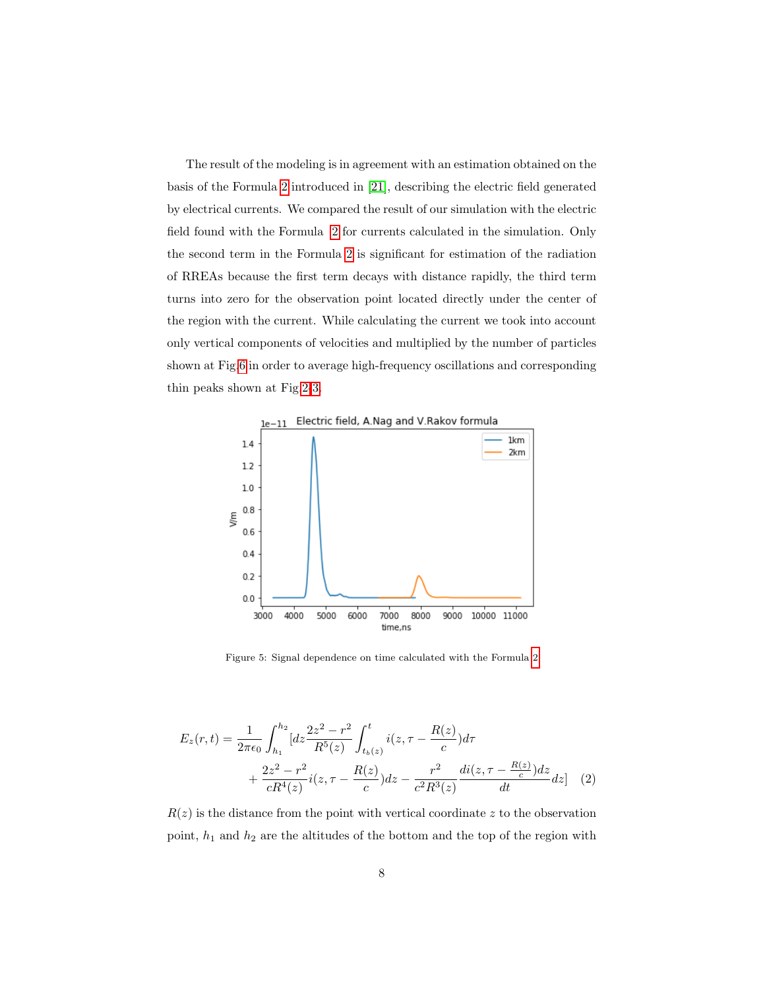The result of the modeling is in agreement with an estimation obtained on the basis of the Formula [2](#page-7-0) introduced in [\[21\]](#page-11-7), describing the electric field generated by electrical currents. We compared the result of our simulation with the electric field found with the Formula [2](#page-7-0) for currents calculated in the simulation. Only the second term in the Formula [2](#page-7-0) is significant for estimation of the radiation of RREAs because the first term decays with distance rapidly, the third term turns into zero for the observation point located directly under the center of the region with the current. While calculating the current we took into account only vertical components of velocities and multiplied by the number of particles shown at Fig[.6](#page-8-0) in order to average high-frequency oscillations and corresponding thin peaks shown at Fig[.2-](#page-5-0)[3.](#page-5-1)



<span id="page-7-0"></span>Figure 5: Signal dependence on time calculated with the Formula [2](#page-7-0)

$$
E_z(r,t) = \frac{1}{2\pi\epsilon_0} \int_{h_1}^{h_2} [dz \frac{2z^2 - r^2}{R^5(z)} \int_{t_b(z)}^t i(z, \tau - \frac{R(z)}{c}) d\tau + \frac{2z^2 - r^2}{cR^4(z)} i(z, \tau - \frac{R(z)}{c}) dz - \frac{r^2}{c^2R^3(z)} \frac{di(z, \tau - \frac{R(z)}{c}) dz}{dt} dz]
$$
 (2)

 $R(z)$  is the distance from the point with vertical coordinate z to the observation point,  $h_1$  and  $h_2$  are the altitudes of the bottom and the top of the region with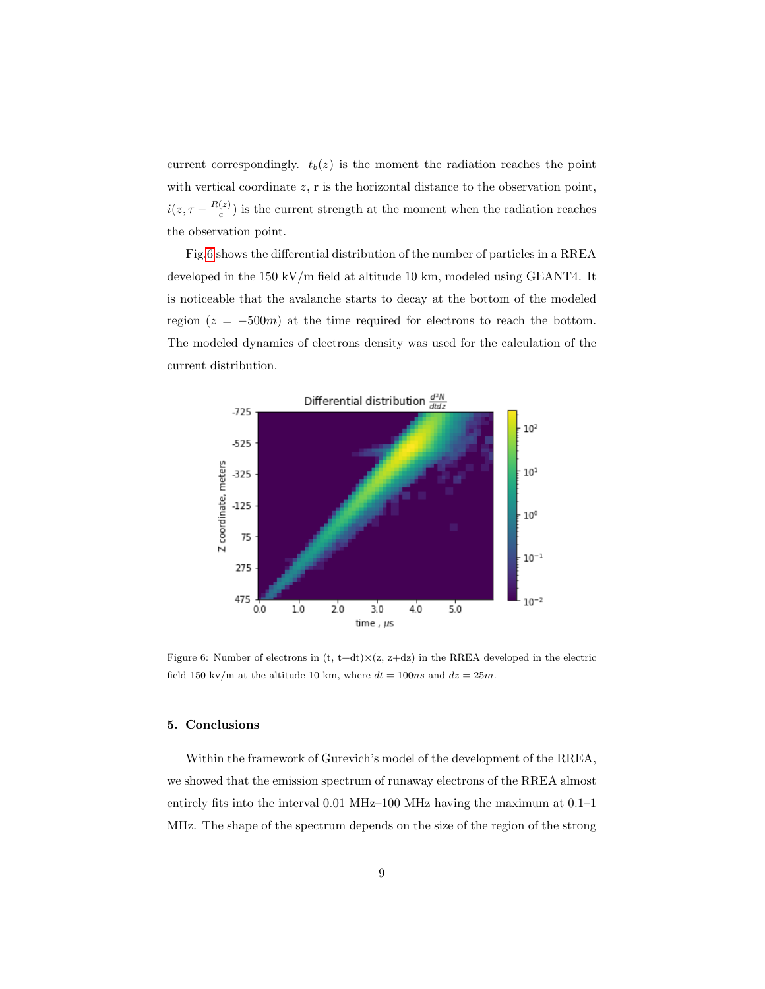current correspondingly.  $t_b(z)$  is the moment the radiation reaches the point with vertical coordinate z, r is the horizontal distance to the observation point,  $i(z, \tau - \frac{R(z)}{c})$  $(c<sub>c</sub>)$  is the current strength at the moment when the radiation reaches the observation point.

Fig[.6](#page-8-0) shows the differential distribution of the number of particles in a RREA developed in the 150 kV/m field at altitude 10 km, modeled using GEANT4. It is noticeable that the avalanche starts to decay at the bottom of the modeled region  $(z = -500m)$  at the time required for electrons to reach the bottom. The modeled dynamics of electrons density was used for the calculation of the current distribution.

<span id="page-8-0"></span>

Figure 6: Number of electrons in  $(t, t+dt) \times (z, z+dz)$  in the RREA developed in the electric field 150 kv/m at the altitude 10 km, where  $dt = 100ns$  and  $dz = 25m$ .

#### 5. Conclusions

Within the framework of Gurevich's model of the development of the RREA, we showed that the emission spectrum of runaway electrons of the RREA almost entirely fits into the interval 0.01 MHz–100 MHz having the maximum at 0.1–1 MHz. The shape of the spectrum depends on the size of the region of the strong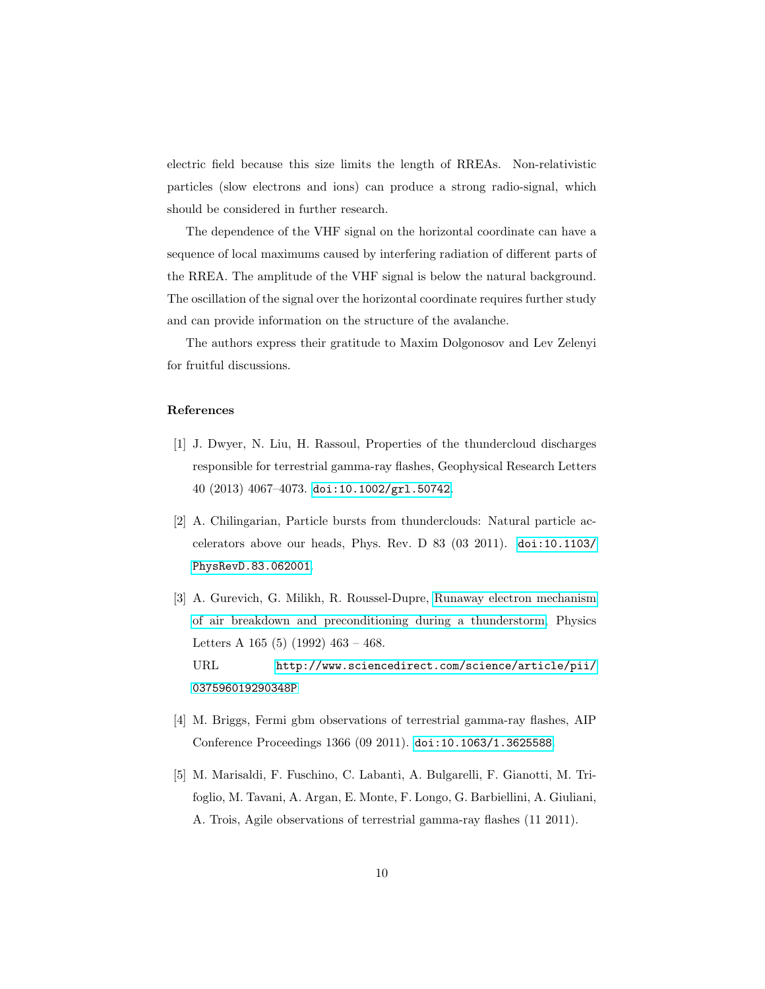electric field because this size limits the length of RREAs. Non-relativistic particles (slow electrons and ions) can produce a strong radio-signal, which should be considered in further research.

The dependence of the VHF signal on the horizontal coordinate can have a sequence of local maximums caused by interfering radiation of different parts of the RREA. The amplitude of the VHF signal is below the natural background. The oscillation of the signal over the horizontal coordinate requires further study and can provide information on the structure of the avalanche.

The authors express their gratitude to Maxim Dolgonosov and Lev Zelenyi for fruitful discussions.

## References

- <span id="page-9-0"></span>[1] J. Dwyer, N. Liu, H. Rassoul, Properties of the thundercloud discharges responsible for terrestrial gamma-ray flashes, Geophysical Research Letters 40 (2013) 4067–4073. [doi:10.1002/grl.50742](https://doi.org/10.1002/grl.50742).
- <span id="page-9-1"></span>[2] A. Chilingarian, Particle bursts from thunderclouds: Natural particle accelerators above our heads, Phys. Rev. D  $83$  (03 2011). [doi:10.1103/](https://doi.org/10.1103/PhysRevD.83.062001) [PhysRevD.83.062001](https://doi.org/10.1103/PhysRevD.83.062001).
- <span id="page-9-2"></span>[3] A. Gurevich, G. Milikh, R. Roussel-Dupre, [Runaway electron mechanism](http://www.sciencedirect.com/science/article/pii/037596019290348P) [of air breakdown and preconditioning during a thunderstorm,](http://www.sciencedirect.com/science/article/pii/037596019290348P) Physics Letters A  $165$  (5) (1992)  $463 - 468$ . URL [http://www.sciencedirect.com/science/article/pii/](http://www.sciencedirect.com/science/article/pii/037596019290348P) [037596019290348P](http://www.sciencedirect.com/science/article/pii/037596019290348P)
- <span id="page-9-3"></span>[4] M. Briggs, Fermi gbm observations of terrestrial gamma-ray flashes, AIP Conference Proceedings 1366 (09 2011). [doi:10.1063/1.3625588](https://doi.org/10.1063/1.3625588).
- <span id="page-9-4"></span>[5] M. Marisaldi, F. Fuschino, C. Labanti, A. Bulgarelli, F. Gianotti, M. Trifoglio, M. Tavani, A. Argan, E. Monte, F. Longo, G. Barbiellini, A. Giuliani, A. Trois, Agile observations of terrestrial gamma-ray flashes (11 2011).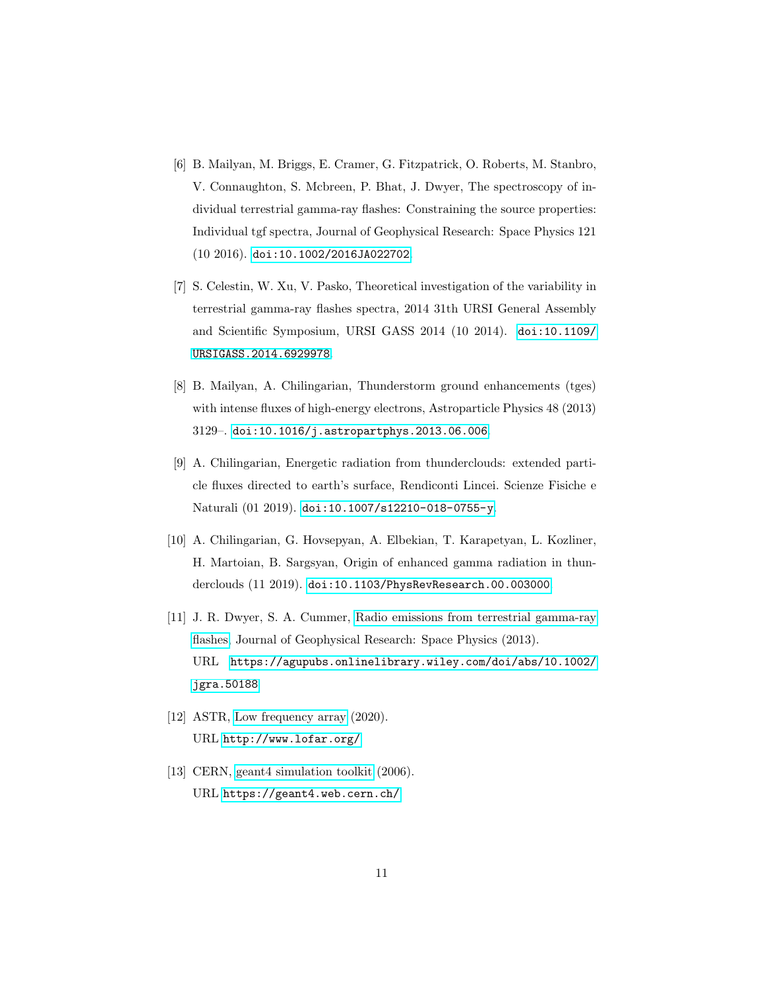- <span id="page-10-0"></span>[6] B. Mailyan, M. Briggs, E. Cramer, G. Fitzpatrick, O. Roberts, M. Stanbro, V. Connaughton, S. Mcbreen, P. Bhat, J. Dwyer, The spectroscopy of individual terrestrial gamma-ray flashes: Constraining the source properties: Individual tgf spectra, Journal of Geophysical Research: Space Physics 121 (10 2016). [doi:10.1002/2016JA022702](https://doi.org/10.1002/2016JA022702).
- <span id="page-10-1"></span>[7] S. Celestin, W. Xu, V. Pasko, Theoretical investigation of the variability in terrestrial gamma-ray flashes spectra, 2014 31th URSI General Assembly and Scientific Symposium, URSI GASS 2014 (10 2014). [doi:10.1109/](https://doi.org/10.1109/URSIGASS.2014.6929978) [URSIGASS.2014.6929978](https://doi.org/10.1109/URSIGASS.2014.6929978).
- <span id="page-10-2"></span>[8] B. Mailyan, A. Chilingarian, Thunderstorm ground enhancements (tges) with intense fluxes of high-energy electrons, Astroparticle Physics 48 (2013) 3129–. [doi:10.1016/j.astropartphys.2013.06.006](https://doi.org/10.1016/j.astropartphys.2013.06.006).
- <span id="page-10-3"></span>[9] A. Chilingarian, Energetic radiation from thunderclouds: extended particle fluxes directed to earth's surface, Rendiconti Lincei. Scienze Fisiche e Naturali (01 2019). [doi:10.1007/s12210-018-0755-y](https://doi.org/10.1007/s12210-018-0755-y).
- <span id="page-10-4"></span>[10] A. Chilingarian, G. Hovsepyan, A. Elbekian, T. Karapetyan, L. Kozliner, H. Martoian, B. Sargsyan, Origin of enhanced gamma radiation in thunderclouds (11 2019). [doi:10.1103/PhysRevResearch.00.003000](https://doi.org/10.1103/PhysRevResearch.00.003000).
- <span id="page-10-5"></span>[11] J. R. Dwyer, S. A. Cummer, [Radio emissions from terrestrial gamma-ray](https://agupubs.onlinelibrary.wiley.com/doi/abs/10.1002/jgra.50188) [flashes,](https://agupubs.onlinelibrary.wiley.com/doi/abs/10.1002/jgra.50188) Journal of Geophysical Research: Space Physics (2013). URL [https://agupubs.onlinelibrary.wiley.com/doi/abs/10.1002/](https://agupubs.onlinelibrary.wiley.com/doi/abs/10.1002/jgra.50188) [jgra.50188](https://agupubs.onlinelibrary.wiley.com/doi/abs/10.1002/jgra.50188)
- <span id="page-10-6"></span>[12] ASTR, [Low frequency array](http://www.lofar.org/)  $(2020)$ . URL <http://www.lofar.org/>
- <span id="page-10-7"></span>[13] CERN, [geant4 simulation toolkit](https://geant4.web.cern.ch/)  $(2006)$ . URL <https://geant4.web.cern.ch/>